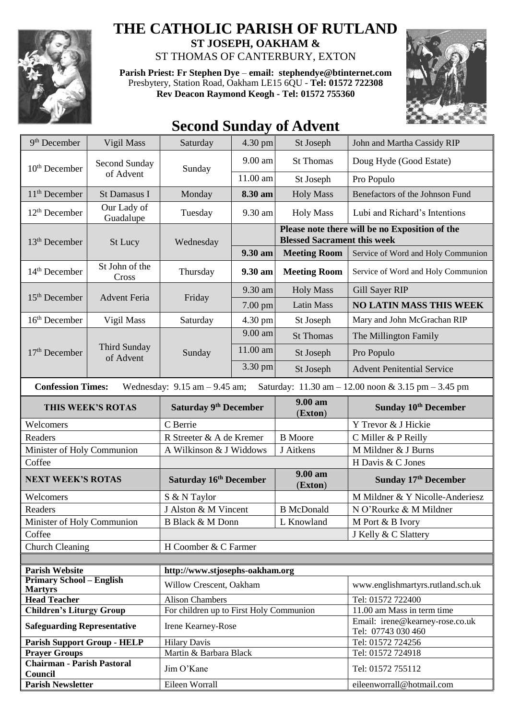

## **THE CATHOLIC PARISH OF RUTLAND**

**ST JOSEPH, OAKHAM &**  ST THOMAS OF CANTERBURY, EXTON

**Parish Priest: Fr Stephen Dye** – **[email: stephendye@btinternet.com](mailto:email:%20%20stephendye@btinternet.com)** Presbytery, Station Road, Oakham LE15 6QU - **Tel: 01572 722308 Rev Deacon Raymond Keogh - Tel: 01572 755360**



## **Second Sunday of Advent**

| 9 <sup>th</sup> December                                                                                                                               | Vigil Mass                       | Saturday                                | 4.30 pm  | St Joseph           | John and Martha Cassidy RIP                                                          |  |  |  |
|--------------------------------------------------------------------------------------------------------------------------------------------------------|----------------------------------|-----------------------------------------|----------|---------------------|--------------------------------------------------------------------------------------|--|--|--|
| $10th$ December                                                                                                                                        | Second Sunday<br>of Advent       | Sunday                                  | 9.00 am  | <b>St Thomas</b>    | Doug Hyde (Good Estate)                                                              |  |  |  |
|                                                                                                                                                        |                                  |                                         | 11.00 am | St Joseph           | Pro Populo                                                                           |  |  |  |
| 11 <sup>th</sup> December                                                                                                                              | St Damasus I                     | Monday                                  | 8.30 am  | <b>Holy Mass</b>    | Benefactors of the Johnson Fund                                                      |  |  |  |
| $12th$ December                                                                                                                                        | Our Lady of<br>Guadalupe         | Tuesday                                 | 9.30 am  | <b>Holy Mass</b>    | Lubi and Richard's Intentions                                                        |  |  |  |
| 13 <sup>th</sup> December                                                                                                                              | St Lucy                          | Wednesday                               |          |                     | Please note there will be no Exposition of the<br><b>Blessed Sacrament this week</b> |  |  |  |
|                                                                                                                                                        |                                  |                                         | 9.30 am  | <b>Meeting Room</b> | Service of Word and Holy Communion                                                   |  |  |  |
| 14 <sup>th</sup> December                                                                                                                              | St John of the<br>Cross          | Thursday                                | 9.30 am  | <b>Meeting Room</b> | Service of Word and Holy Communion                                                   |  |  |  |
| $15th$ December                                                                                                                                        | <b>Advent Feria</b>              | Friday                                  | 9.30 am  | <b>Holy Mass</b>    | Gill Sayer RIP                                                                       |  |  |  |
|                                                                                                                                                        |                                  |                                         | 7.00 pm  | <b>Latin Mass</b>   | <b>NO LATIN MASS THIS WEEK</b>                                                       |  |  |  |
| 16 <sup>th</sup> December                                                                                                                              | Vigil Mass                       | Saturday                                | 4.30 pm  | St Joseph           | Mary and John McGrachan RIP                                                          |  |  |  |
|                                                                                                                                                        | <b>Third Sunday</b><br>of Advent | Sunday                                  | 9.00 am  | <b>St Thomas</b>    | The Millington Family                                                                |  |  |  |
| $17th$ December                                                                                                                                        |                                  |                                         | 11.00 am | St Joseph           | Pro Populo                                                                           |  |  |  |
|                                                                                                                                                        |                                  |                                         | 3.30 pm  | St Joseph           | <b>Advent Penitential Service</b>                                                    |  |  |  |
| <b>Confession Times:</b><br>Wednesday: $9.15$ am $-9.45$ am;<br>Saturday: $11.30 \text{ am} - 12.00 \text{ noon} \& 3.15 \text{ pm} - 3.45 \text{ pm}$ |                                  |                                         |          |                     |                                                                                      |  |  |  |
| THIS WEEK'S ROTAS                                                                                                                                      |                                  | <b>Saturday 9th December</b>            |          | 9.00 am<br>(Exton)  | Sunday 10 <sup>th</sup> December                                                     |  |  |  |
| Welcomers                                                                                                                                              |                                  | C Berrie                                |          |                     | Y Trevor & J Hickie                                                                  |  |  |  |
| Readers                                                                                                                                                |                                  | R Streeter & A de Kremer                |          | <b>B</b> Moore      | C Miller & P Reilly                                                                  |  |  |  |
| Minister of Holy Communion                                                                                                                             |                                  | A Wilkinson & J Widdows                 |          | J Aitkens           | M Mildner & J Burns                                                                  |  |  |  |
| Coffee                                                                                                                                                 |                                  |                                         |          |                     | H Davis & C Jones                                                                    |  |  |  |
| <b>NEXT WEEK'S ROTAS</b>                                                                                                                               |                                  | Saturday 16th December                  |          | 9.00 am<br>(Exton)  | Sunday 17th December                                                                 |  |  |  |
| Welcomers                                                                                                                                              |                                  | S & N Taylor                            |          |                     | M Mildner & Y Nicolle-Anderiesz                                                      |  |  |  |
| Readers                                                                                                                                                |                                  | J Alston & M Vincent                    |          | <b>B</b> McDonald   | N O'Rourke & M Mildner                                                               |  |  |  |
| Minister of Holy Communion                                                                                                                             |                                  | <b>B Black &amp; M Donn</b>             |          | L Knowland          | M Port & B Ivory                                                                     |  |  |  |
| Coffee                                                                                                                                                 |                                  |                                         |          |                     | J Kelly & C Slattery                                                                 |  |  |  |
| <b>Church Cleaning</b>                                                                                                                                 |                                  | H Coomber & C Farmer                    |          |                     |                                                                                      |  |  |  |
|                                                                                                                                                        |                                  |                                         |          |                     |                                                                                      |  |  |  |
| <b>Parish Website</b>                                                                                                                                  |                                  | http://www.stjosephs-oakham.org         |          |                     |                                                                                      |  |  |  |
| <b>Primary School - English</b><br><b>Martyrs</b>                                                                                                      |                                  | Willow Crescent, Oakham                 |          |                     | www.englishmartyrs.rutland.sch.uk                                                    |  |  |  |
| <b>Head Teacher</b>                                                                                                                                    |                                  | <b>Alison Chambers</b>                  |          |                     | Tel: 01572 722400                                                                    |  |  |  |
| <b>Children's Liturgy Group</b>                                                                                                                        |                                  | For children up to First Holy Communion |          |                     | 11.00 am Mass in term time                                                           |  |  |  |
| <b>Safeguarding Representative</b>                                                                                                                     |                                  | Irene Kearney-Rose                      |          |                     | Email: irene@kearney-rose.co.uk<br>Tel: 07743 030 460                                |  |  |  |
| <b>Parish Support Group - HELP</b>                                                                                                                     |                                  | <b>Hilary Davis</b>                     |          |                     | Tel: 01572 724256                                                                    |  |  |  |
| <b>Prayer Groups</b>                                                                                                                                   |                                  | Martin & Barbara Black                  |          |                     | Tel: 01572 724918                                                                    |  |  |  |
| <b>Chairman - Parish Pastoral</b><br>Council                                                                                                           |                                  | Jim O'Kane                              |          |                     | Tel: 01572 755112                                                                    |  |  |  |
| <b>Parish Newsletter</b>                                                                                                                               |                                  | Eileen Worrall                          |          |                     | eileenworrall@hotmail.com                                                            |  |  |  |